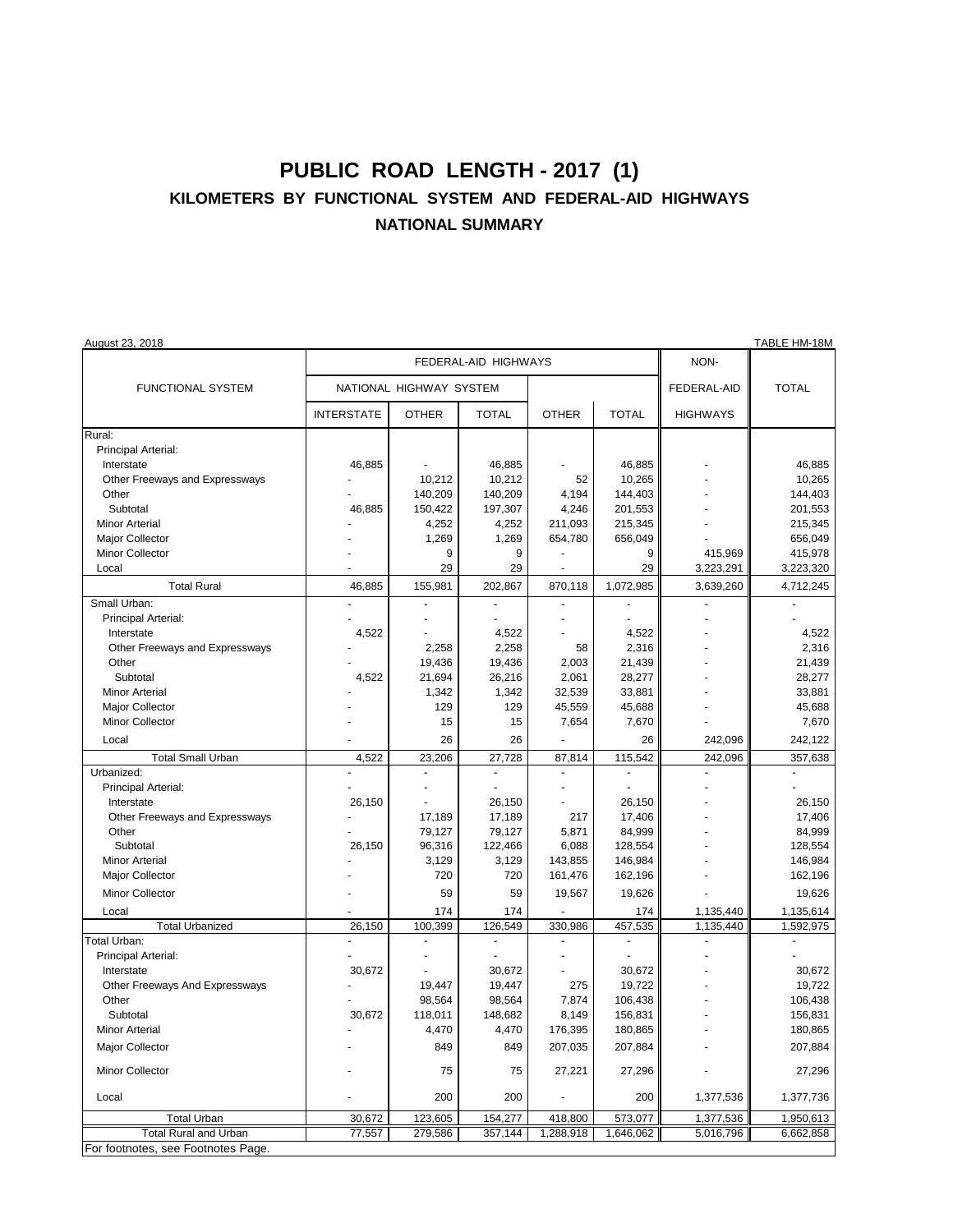## **PUBLIC ROAD LENGTH - 2017 (1) KILOMETERS BY FUNCTIONAL SYSTEM AND FEDERAL-AID HIGHWAYS NATIONAL SUMMARY**

| August 23, 2018                    |                         |                 |                  |                          |                 |                 | TABLE HM-18M       |
|------------------------------------|-------------------------|-----------------|------------------|--------------------------|-----------------|-----------------|--------------------|
|                                    | FEDERAL-AID HIGHWAYS    |                 |                  |                          |                 | NON-            |                    |
| <b>FUNCTIONAL SYSTEM</b>           | NATIONAL HIGHWAY SYSTEM |                 |                  |                          |                 | FEDERAL-AID     | <b>TOTAL</b>       |
|                                    | <b>INTERSTATE</b>       | <b>OTHER</b>    | <b>TOTAL</b>     | <b>OTHER</b>             | <b>TOTAL</b>    | <b>HIGHWAYS</b> |                    |
| Rural:                             |                         |                 |                  |                          |                 |                 |                    |
| Principal Arterial:                |                         |                 |                  |                          |                 |                 |                    |
| Interstate                         | 46,885                  |                 | 46,885           |                          | 46,885          |                 | 46,885             |
| Other Freeways and Expressways     |                         | 10,212          | 10,212           | 52                       | 10,265          |                 | 10,265             |
| Other                              |                         | 140,209         | 140,209          | 4,194                    | 144,403         |                 | 144,403            |
| Subtotal                           | 46,885                  | 150,422         | 197,307          | 4,246                    | 201,553         |                 | 201,553            |
| <b>Minor Arterial</b>              |                         | 4,252           | 4,252            | 211,093                  | 215,345         |                 | 215,345            |
| Major Collector                    |                         | 1,269           | 1,269            | 654,780                  | 656,049         |                 | 656,049            |
| Minor Collector                    |                         | 9               | 9                |                          | 9               | 415,969         | 415,978            |
| Local                              |                         | 29              | 29               | ÷.                       | 29              | 3,223,291       | 3,223,320          |
| <b>Total Rural</b>                 | 46,885                  | 155,981         | 202,867          | 870,118                  | 1,072,985       | 3,639,260       | 4,712,245          |
| Small Urban:                       |                         |                 |                  |                          |                 |                 |                    |
| Principal Arterial:<br>Interstate  |                         |                 |                  |                          |                 |                 |                    |
| Other Freeways and Expressways     | 4,522                   |                 | 4,522<br>2,258   | 58                       | 4,522           |                 | 4,522<br>2,316     |
| Other                              |                         | 2,258<br>19,436 |                  |                          | 2,316<br>21,439 |                 |                    |
| Subtotal                           | 4,522                   | 21,694          | 19,436<br>26,216 | 2,003<br>2,061           | 28,277          |                 | 21,439<br>28,277   |
| <b>Minor Arterial</b>              |                         | 1,342           | 1,342            | 32,539                   | 33,881          |                 | 33,881             |
| Major Collector                    |                         | 129             | 129              | 45,559                   | 45,688          |                 | 45,688             |
| Minor Collector                    |                         | 15              | 15               | 7,654                    | 7,670           |                 | 7,670              |
|                                    |                         |                 |                  |                          |                 |                 |                    |
| Local                              |                         | 26              | 26               |                          | 26              | 242,096         | 242,122            |
| <b>Total Small Urban</b>           | 4,522                   | 23,206          | 27,728           | 87,814                   | 115,542         | 242,096         | 357,638            |
| Urbanized:                         |                         |                 | $\blacksquare$   |                          |                 |                 |                    |
| Principal Arterial:                |                         |                 |                  |                          |                 |                 |                    |
| Interstate                         | 26,150                  |                 | 26,150           |                          | 26,150          |                 | 26,150             |
| Other Freeways and Expressways     |                         | 17,189          | 17,189           | 217                      | 17,406          |                 | 17,406             |
| Other<br>Subtotal                  |                         | 79,127          | 79,127           | 5,871                    | 84,999          |                 | 84,999             |
| <b>Minor Arterial</b>              | 26,150                  | 96,316<br>3,129 | 122,466<br>3,129 | 6,088<br>143,855         | 128,554         |                 | 128,554<br>146,984 |
|                                    |                         | 720             | 720              |                          | 146,984         |                 |                    |
| Major Collector                    |                         |                 |                  | 161,476                  | 162,196         |                 | 162,196            |
| <b>Minor Collector</b>             |                         | 59              | 59               | 19,567                   | 19,626          |                 | 19,626             |
| Local                              |                         | 174             | 174              |                          | 174             | 1,135,440       | 1,135,614          |
| <b>Total Urbanized</b>             | 26,150                  | 100,399         | 126,549          | 330,986                  | 457,535         | 1,135,440       | 1,592,975          |
| Total Urban:                       |                         |                 | $\blacksquare$   | $\overline{\phantom{a}}$ | $\overline{a}$  |                 |                    |
| Principal Arterial:                |                         |                 |                  |                          |                 |                 |                    |
| Interstate                         | 30,672                  |                 | 30,672           |                          | 30,672          |                 | 30,672             |
| Other Freeways And Expressways     |                         | 19,447          | 19,447           | 275                      | 19,722          |                 | 19,722             |
| Other<br>Subtotal                  |                         | 98,564          | 98,564           | 7,874                    | 106,438         |                 | 106,438            |
| <b>Minor Arterial</b>              | 30,672                  | 118,011         | 148,682          | 8,149<br>176,395         | 156,831         |                 | 156,831            |
|                                    |                         | 4,470           | 4,470            |                          | 180,865         |                 | 180,865            |
| Major Collector                    |                         | 849             | 849              | 207,035                  | 207,884         |                 | 207,884            |
| Minor Collector                    |                         | 75              | 75               | 27,221                   | 27,296          |                 | 27,296             |
| Local                              |                         | 200             | 200              |                          | 200             | 1,377,536       | 1,377,736          |
| <b>Total Urban</b>                 | 30,672                  | 123,605         | 154,277          | 418,800                  | 573,077         | 1,377,536       | 1,950,613          |
| <b>Total Rural and Urban</b>       | 77,557                  | 279,586         | 357,144          | 1,288,918                | 1,646,062       | 5,016,796       | 6,662,858          |
| For footnotes, see Footnotes Page. |                         |                 |                  |                          |                 |                 |                    |